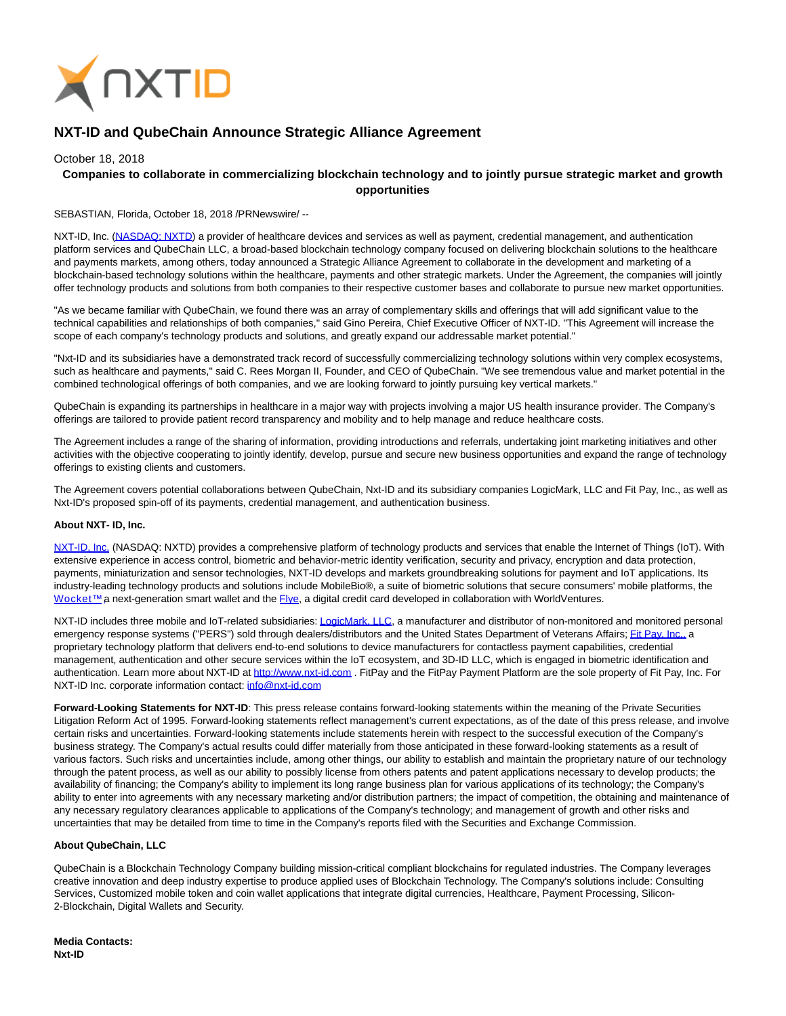

# **NXT-ID and QubeChain Announce Strategic Alliance Agreement**

## October 18, 2018

# **Companies to collaborate in commercializing blockchain technology and to jointly pursue strategic market and growth opportunities**

SEBASTIAN, Florida, October 18, 2018 /PRNewswire/ --

NXT-ID, Inc. [\(NASDAQ: NXTD\)](https://finance.yahoo.com/quote/NXTD?p=NXTD&.tsrc=fin-srch) a provider of healthcare devices and services as well as payment, credential management, and authentication platform services and QubeChain LLC, a broad-based blockchain technology company focused on delivering blockchain solutions to the healthcare and payments markets, among others, today announced a Strategic Alliance Agreement to collaborate in the development and marketing of a blockchain-based technology solutions within the healthcare, payments and other strategic markets. Under the Agreement, the companies will jointly offer technology products and solutions from both companies to their respective customer bases and collaborate to pursue new market opportunities.

"As we became familiar with QubeChain, we found there was an array of complementary skills and offerings that will add significant value to the technical capabilities and relationships of both companies," said Gino Pereira, Chief Executive Officer of NXT-ID. "This Agreement will increase the scope of each company's technology products and solutions, and greatly expand our addressable market potential."

"Nxt-ID and its subsidiaries have a demonstrated track record of successfully commercializing technology solutions within very complex ecosystems, such as healthcare and payments," said C. Rees Morgan II, Founder, and CEO of QubeChain. "We see tremendous value and market potential in the combined technological offerings of both companies, and we are looking forward to jointly pursuing key vertical markets."

QubeChain is expanding its partnerships in healthcare in a major way with projects involving a major US health insurance provider. The Company's offerings are tailored to provide patient record transparency and mobility and to help manage and reduce healthcare costs.

The Agreement includes a range of the sharing of information, providing introductions and referrals, undertaking joint marketing initiatives and other activities with the objective cooperating to jointly identify, develop, pursue and secure new business opportunities and expand the range of technology offerings to existing clients and customers.

The Agreement covers potential collaborations between QubeChain, Nxt-ID and its subsidiary companies LogicMark, LLC and Fit Pay, Inc., as well as Nxt-ID's proposed spin-off of its payments, credential management, and authentication business.

## **About NXT- ID, Inc.**

[NXT-ID, Inc. \(](http://www.nxt-id.com/)NASDAQ: NXTD) provides a comprehensive platform of technology products and services that enable the Internet of Things (IoT). With extensive experience in access control, biometric and behavior-metric identity verification, security and privacy, encryption and data protection, payments, miniaturization and sensor technologies, NXT-ID develops and markets groundbreaking solutions for payment and IoT applications. Its industry-leading technology products and solutions include MobileBio®, a suite of biometric solutions that secure consumers' mobile platforms, the Wocket™ a next-generation smart wallet and the [Flye,](https://www.flye.com/) a digital credit card developed in collaboration with WorldVentures.

NXT-ID includes three mobile and IoT-related subsidiaries[: LogicMark, LLC,](https://www.logicmark.com/) a manufacturer and distributor of non-monitored and monitored personal emergency response systems ("PERS") sold through dealers/distributors and the United States Department of Veterans Affairs[; Fit Pay, Inc., a](http://www.fit-pay.com/) proprietary technology platform that delivers end-to-end solutions to device manufacturers for contactless payment capabilities, credential management, authentication and other secure services within the IoT ecosystem, and 3D-ID LLC, which is engaged in biometric identification and authentication. Learn more about NXT-ID at [http://www.nxt-id.com .](http://www.nxt-id.com/) FitPay and the FitPay Payment Platform are the sole property of Fit Pay, Inc. For NXT-ID Inc. corporate information contact: [info@nxt-id.com](mailto:info@nxt-id.com)

**Forward-Looking Statements for NXT-ID**: This press release contains forward-looking statements within the meaning of the Private Securities Litigation Reform Act of 1995. Forward-looking statements reflect management's current expectations, as of the date of this press release, and involve certain risks and uncertainties. Forward-looking statements include statements herein with respect to the successful execution of the Company's business strategy. The Company's actual results could differ materially from those anticipated in these forward-looking statements as a result of various factors. Such risks and uncertainties include, among other things, our ability to establish and maintain the proprietary nature of our technology through the patent process, as well as our ability to possibly license from others patents and patent applications necessary to develop products; the availability of financing; the Company's ability to implement its long range business plan for various applications of its technology; the Company's ability to enter into agreements with any necessary marketing and/or distribution partners; the impact of competition, the obtaining and maintenance of any necessary regulatory clearances applicable to applications of the Company's technology; and management of growth and other risks and uncertainties that may be detailed from time to time in the Company's reports filed with the Securities and Exchange Commission.

#### **About QubeChain, LLC**

QubeChain is a Blockchain Technology Company building mission-critical compliant blockchains for regulated industries. The Company leverages creative innovation and deep industry expertise to produce applied uses of Blockchain Technology. The Company's solutions include: Consulting Services, Customized mobile token and coin wallet applications that integrate digital currencies, Healthcare, Payment Processing, Silicon-2-Blockchain, Digital Wallets and Security.

**Media Contacts: Nxt-ID**